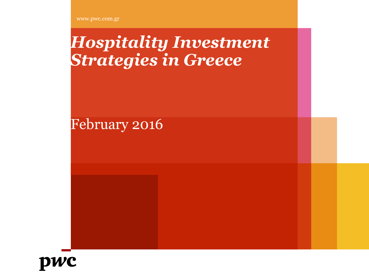www.pwc.com.gr

# *Hospitality Investment Strategies in Greece*

February 2016

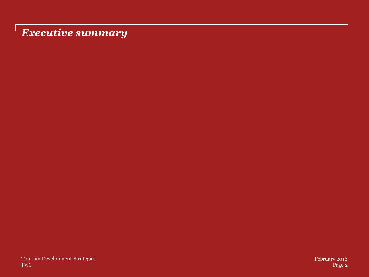## *Executive summary*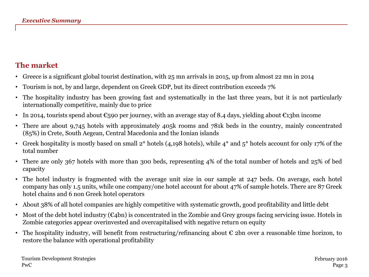#### **The market**

- Greece is a significant global tourist destination, with 25 mn arrivals in 2015, up from almost 22 mn in 2014
- Tourism is not, by and large, dependent on Greek GDP, but its direct contribution exceeds 7%
- The hospitality industry has been growing fast and systematically in the last three years, but it is not particularly internationally competitive, mainly due to price
- In 2014, tourists spend about  $\epsilon$ 590 per journey, with an average stay of 8.4 days, yielding about  $\epsilon$ 13bn income
- There are about 9,745 hotels with approximately 405k rooms and 781k beds in the country, mainly concentrated (85%) in Crete, South Aegean, Central Macedonia and the Ionian islands
- Greek hospitality is mostly based on small  $2^*$  hotels (4,198 hotels), while  $4^*$  and  $5^*$  hotels account for only 17% of the total number
- There are only 367 hotels with more than 300 beds, representing 4% of the total number of hotels and 25% of bed capacity
- The hotel industry is fragmented with the average unit size in our sample at 247 beds. On average, each hotel company has only 1.5 units, while one company/one hotel account for about 47% of sample hotels. There are 87 Greek hotel chains and 6 non Greek hotel operators
- About 38% of all hotel companies are highly competitive with systematic growth, good profitability and little debt
- Most of the debt hotel industry  $(\epsilon_4$ bn) is concentrated in the Zombie and Grey groups facing servicing issue. Hotels in Zombie categories appear overinvested and overcapitalised with negative return on equity
- The hospitality industry, will benefit from restructuring/refinancing about  $\epsilon$  2bn over a reasonable time horizon, to restore the balance with operational profitability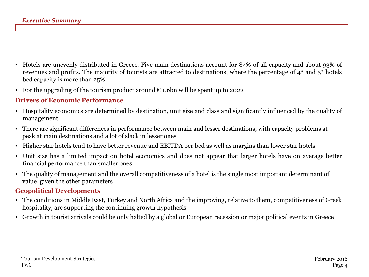- Hotels are unevenly distributed in Greece. Five main destinations account for 84% of all capacity and about 93% of revenues and profits. The majority of tourists are attracted to destinations, where the percentage of 4\* and 5\* hotels bed capacity is more than 25%
- For the upgrading of the tourism product around  $\epsilon$  1.6bn will be spent up to 2022

#### **Drivers of Economic Performance**

- Hospitality economics are determined by destination, unit size and class and significantly influenced by the quality of management
- There are significant differences in performance between main and lesser destinations, with capacity problems at peak at main destinations and a lot of slack in lesser ones
- Higher star hotels tend to have better revenue and EBITDA per bed as well as margins than lower star hotels
- Unit size has a limited impact on hotel economics and does not appear that larger hotels have on average better financial performance than smaller ones
- The quality of management and the overall competitiveness of a hotel is the single most important determinant of value, given the other parameters

#### **Geopolitical Developments**

- The conditions in Middle East, Turkey and North Africa and the improving, relative to them, competitiveness of Greek hospitality, are supporting the continuing growth hypothesis
- Growth in tourist arrivals could be only halted by a global or European recession or major political events in Greece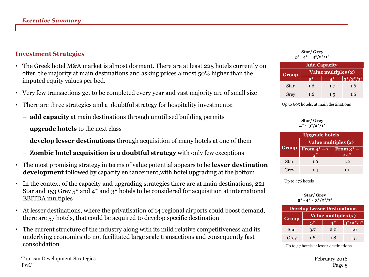#### **Investment Strategies**

- The Greek hotel M&A market is almost dormant. There are at least 225 hotels currently on offer, the majority at main destinations and asking prices almost 50% higher than the imputed equity values per bed.
- Very few transactions get to be completed every year and vast majority are of small size
- There are three strategies and a doubtful strategy for hospitality investments:
	- **add capacity** at main destinations through unutilised building permits
	- **upgrade hotels** to the next class
	- **develop lesser destinations** through acquisition of many hotels at one of them
	- **Zombie hotel acquisition is a doubtful strategy** with only few exceptions
- The most promising strategy in terms of value potential appears to be **lesser destination development** followed by capacity enhancement,with hotel upgrading at the bottom
- In the context of the capacity and upgrading strategies there are at main destinations, 221 Star and 153 Grey 5\* and 4\* and 3\* hotels to be considered for acquisition at international EBITDA multiples
- At lesser destinations, where the privatisation of 14 regional airports could boost demand, there are 57 hotels, that could be acquired to develop specific destination
- The current structure of the industry along with its mild relative competitiveness and its underlying economics do not facilitated large scale transactions and consequently fast consolidation

**Star/ Grey 5\* - 4\* - 3\*/2\*/1\***

| <b>Add Capacity</b> |                     |     |            |  |  |  |  |
|---------------------|---------------------|-----|------------|--|--|--|--|
| Group               | Value multiples (x) |     |            |  |  |  |  |
|                     | $\mathbf{R}^*$      | ⊿*  | $3*/2*/1*$ |  |  |  |  |
| Star                | 1.6                 | 1.7 | 1.6        |  |  |  |  |
| Grey                | 1.6                 | 1.5 | 1.6        |  |  |  |  |

Up to 605 hotels, at main destinations

**Star/ Grey 4\* - 3\*/2\*/1\***

| <b>Upgrade hotels</b> |                        |               |  |  |  |  |
|-----------------------|------------------------|---------------|--|--|--|--|
|                       | Value multiples (x)    |               |  |  |  |  |
| <b>Group</b>          | From $4^* \rightarrow$ | From $3^*$ -- |  |  |  |  |
| Star                  | 1.6                    | 1.2           |  |  |  |  |
| Grey                  | 1.4                    | 1.1           |  |  |  |  |

Up to 476 hotels

#### **Star/ Grey 5\* - 4\* - 3\*/2\*/1\***

| <b>Develop Lesser Destinations</b> |                     |     |                |  |  |  |  |
|------------------------------------|---------------------|-----|----------------|--|--|--|--|
| <b>Group</b>                       | Value multiples (x) |     |                |  |  |  |  |
|                                    |                     | 40  | $ 3^*/2^*/1^*$ |  |  |  |  |
| Star                               | 3.7                 | 2.0 | 1.6            |  |  |  |  |
| Grey                               | 1.8                 | 1.8 | 1.5            |  |  |  |  |

Up to 57 hotels at lesser destinations

PwC Page 5 Tourism Development Strategies February 2016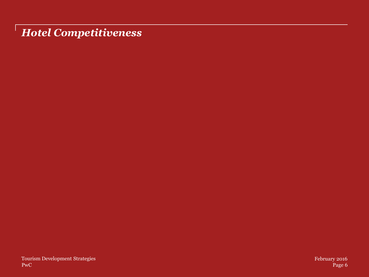*Hotel Competitiveness*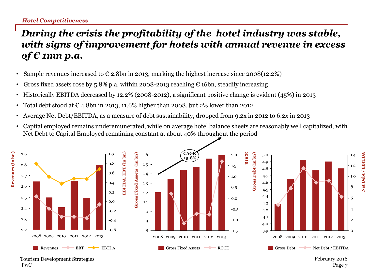## *During the crisis the profitability of the hotel industry was stable, with signs of improvement for hotels with annual revenue in excess of € 1mn p.a.*

- Sample revenues increased to  $\epsilon$  2.8bn in 2013, marking the highest increase since 2008(12.2%)
- Gross fixed assets rose by 5.8% p.a. within 2008-2013 reaching  $\epsilon$  16bn, steadily increasing
- Historically EBITDA decreased by 12.2% (2008-2012), a significant positive change is evident (45%) in 2013
- Total debt stood at  $\epsilon$  4.8bn in 2013, 11.6% higher than 2008, but 2% lower than 2012
- Average Net Debt/EBITDA, as a measure of debt sustainability, dropped from 9.2x in 2012 to 6.2x in 2013
- Capital employed remains underemunerated, while on average hotel balance sheets are reasonably well capitalized, with Net Debt to Capital Employed remaining constant at about 40% throughout the period



PwC Tourism Development Strategies February 2016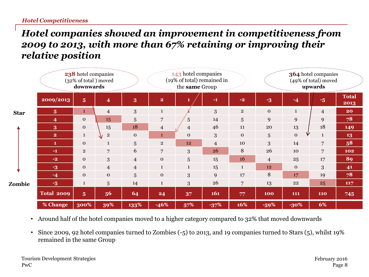#### *Hotel companies showed an improvement in competitiveness from 2009 to 2013, with more than 67% retaining or improving their relative position*

|             |                         | 238 hotel companies<br>(32% of total) moved<br>downwards |                         |                  |                         | 143 hotel companies<br>(19% of total) remained in<br>the same Group |                |                |                 |                   | 364 hotel companies<br>(49% of total) moved<br>upwards |                      |
|-------------|-------------------------|----------------------------------------------------------|-------------------------|------------------|-------------------------|---------------------------------------------------------------------|----------------|----------------|-----------------|-------------------|--------------------------------------------------------|----------------------|
|             | 2009/2013               | 5 <sup>5</sup>                                           | $\overline{\mathbf{4}}$ | $\boldsymbol{3}$ | $\overline{\mathbf{2}}$ |                                                                     | $-1$           | $-2$           | $\overline{-3}$ | $-4$              | $-5$                                                   | <b>Total</b><br>2013 |
| <b>Star</b> | 5 <sup>5</sup>          | $\mathbf{1}$                                             | $\overline{4}$          | 3                | $\mathbf{1}$            |                                                                     | 3              | $\overline{2}$ | $\mathbf{O}$    | $\mathbf{1}$      | $\overline{4}$                                         | 20                   |
|             | $\overline{\mathbf{4}}$ | $\mathbf 0$                                              | 15                      | $\sqrt{5}$       | 7                       | 5                                                                   | 14             | 5              | 9               | 9                 | 9                                                      | 78                   |
|             | 3                       | $\mathbf 0$                                              | 15                      | 18               | $\overline{4}$          | $\overline{4}$                                                      | 46             | 11             | 20              | 13                | 18                                                     | 149                  |
|             | $\overline{2}$          | $\mathbf{1}$                                             | $\overline{2}$          | $\mathbf{O}$     | $\mathbf{1}$            | $\mathbf{O}$                                                        | 3              | $\mathbf{O}$   | 5               | ν<br>$\mathbf{o}$ | $\mathbf{1}$                                           | 13                   |
|             | $\mathbf{1}$            | $\mathbf 0$                                              | $\mathbf{1}$            | $5\phantom{.0}$  | $\overline{2}$          | 12                                                                  | $\overline{4}$ | 10             | 3               | 14                | $\overline{7}$                                         | 58                   |
|             | $-1$                    | $\overline{2}$                                           | $\overline{7}$          | 6                | $\overline{7}$          | 3                                                                   | 26             | 8              | 26              | 10                | 7                                                      | 102                  |
|             | $-2$                    | $\mathbf{0}$                                             | 3                       | $\overline{4}$   | $\mathbf 0$             | 5                                                                   | 15             | 16             | $\overline{4}$  | 25                | 17                                                     | 89                   |
|             | $-3$                    | $\mathbf{0}$                                             | $\overline{4}$          | $\overline{4}$   | $\mathbf{1}$            | $\mathbf{1}$                                                        | 15             | $\mathbf{1}$   | 12              | $\mathbf{O}$      | 3                                                      | 41                   |
|             | $-4$                    | $\mathbf{O}$                                             | $\mathbf{o}$            | $5\overline{)}$  | $\mathbf 0$             | 3                                                                   | 9              | 17             | 8               | 17                | 19                                                     | 78                   |
| Zombie      | $-5$                    | $\mathbf{1}$                                             | 5                       | 14               | $\mathbf{1}$            | 3                                                                   | 26             | 7              | 13              | 22                | 25                                                     | 117                  |
|             | <b>Total 2009</b>       | 5 <sup>5</sup>                                           | 56                      | 64               | 24                      | 37                                                                  | 161            | 77             | 100             | 111               | <b>110</b>                                             | 745                  |
|             | % Change                | 300%                                                     | 39%                     | 133%             | $-46%$                  | 57%                                                                 | $-37%$         | 16%            | $-59%$          | $-30\%$           | 6%                                                     |                      |

• Around half of the hotel companies moved to a higher category compared to 32% that moved downwards

• Since 2009, 92 hotel companies turned to Zombies (-5) to 2013, and 19 companies turned to Stars (5), whilst 19% remained in the same Group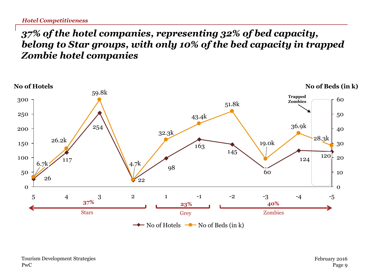## *37% of the hotel companies, representing 32% of bed capacity, belong to Star groups, with only 10% of the bed capacity in trapped Zombie hotel companies*

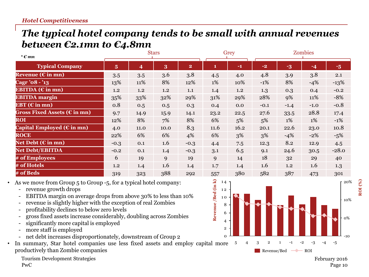#### *The typical hotel company tends to be small with annual revenues between €2.1mn to €4.8mn*

| * $\epsilon$ mn                        |                | <b>Stars</b> |      |                | Grey |      | Zombies |        |        |         |
|----------------------------------------|----------------|--------------|------|----------------|------|------|---------|--------|--------|---------|
| <b>Typical Company</b>                 | 5 <sup>5</sup> | 4            | 3    | $\overline{2}$ | 1    | $-1$ | $-2$    | $-3$   | $-4$   | $-5$    |
| Revenue ( $\epsilon$ in mn)            | 3.5            | 3.5          | 3.6  | 3.8            | 4.5  | 4.0  | 4.8     | 3.9    | 3.8    | 2.1     |
| Cagr ' $08 - 13$                       | 13%            | 11%          | 8%   | 12%            | 1%   | 10%  | $-1%$   | 8%     | $-4%$  | $-13%$  |
| EBITDA $(\epsilon$ in mn)              | 1.2            | 1.2          | 1.2  | 1.1            | 1.4  | 1.2  | 1.3     | 0.3    | 0.4    | $-0.2$  |
| <b>EBITDA</b> margin                   | 35%            | 33%          | 32%  | 29%            | 31%  | 29%  | 28%     | 9%     | 11%    | $-8%$   |
| EBT ( $\epsilon$ in mn)                | 0.8            | 0.5          | 0.5  | 0.3            | 0.4  | 0.0  | $-0.1$  | $-1.4$ | $-1.0$ | $-0.8$  |
| Gross Fixed Assets ( $\epsilon$ in mn) | 9.7            | 14.9         | 15.9 | 14.1           | 23.2 | 22.5 | 27.6    | 33.5   | 28.8   | 17.4    |
| <b>ROI</b>                             | 12%            | 8%           | 7%   | 8%             | 6%   | 5%   | 5%      | 1%     | 1%     | $-1\%$  |
| Capital Employed ( $\epsilon$ in mn)   | 4.0            | 11.0         | 10.0 | 8.3            | 11.6 | 16.2 | 20.1    | 22.6   | 23.0   | 10.8    |
| <b>ROCE</b>                            | 22%            | 6%           | 6%   | 4%             | 6%   | 3%   | 3%      | $-4%$  | $-2%$  | $-5%$   |
| Net Debt ( $\epsilon$ in mn)           | $-0.3$         | 0.1          | 1.6  | $-0.3$         | 4.4  | 7.5  | 12.3    | 8.2    | 12.9   | 4.5     |
| <b>Net Debt/EBITDA</b>                 | $-0.2$         | 0.1          | 1.4  | $-0.3$         | 3.1  | 6.5  | 9.1     | 24.6   | 30.5   | $-28.0$ |
| # of Employees                         | 6              | 19           | 9    | 19             | 9    | 14   | 18      | 32     | 29     | 40      |
| # of Hotels                            | 1.2            | 1.4          | 1.6  | 1.4            | 1.7  | 1.4  | 1.6     | 1.2    | 1.6    | 1.3     |
| # of Beds                              | 319            | 323          | 388  | 292            | 557  | 380  | 582     | 387    | 473    | 301     |

• As we move from Group 5 to Group -5, for a typical hotel company:

- revenue growth drops
- EBITDA margin on average drops from above 30% to less than 10%
- revenue is slightly higher with the exception of real Zombies
- profitability declines to below zero levels
- gross fixed assets increase considerably, doubling across Zombies
- significantly more capital is employed
- more staff is employed
- net debt increases disproportionately, downstream of Group 2
- In summary, Star hotel companies use less fixed assets and employ capital more productively than Zombie companies

PwC Tourism Development Strategies February 2016



Page 10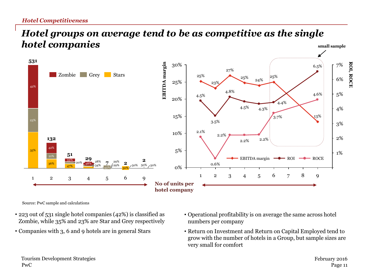#### *Hotel Competitiveness*

#### *Hotel groups on average tend to be as competitive as the single hotel companies* **small sample**



Source: PwC sample and calculations

- 223 out of 531 single hotel companies (42%) is classified as Zombie, while 35% and 23% are Star and Grey respectively
- Companies with 3, 6 and 9 hotels are in general Stars
- Operational profitability is on average the same across hotel numbers per company
- Return on Investment and Return on Capital Employed tend to grow with the number of hotels in a Group, but sample sizes are very small for comfort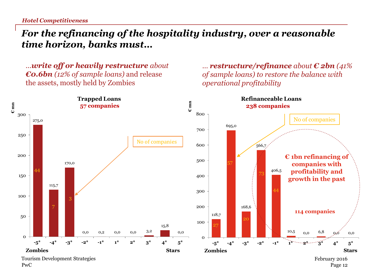*Hotel Competitiveness*

#### *For the refinancing of the hospitality industry, over a reasonable time horizon, banks must…*

*…write off or heavily restructure about €0.6bn (12% of sample loans)* and release the assets, mostly held by Zombies

*… restructure/refinance about € 2bn (41% of sample loans) to restore the balance with operational profitability*

Page 12



PwC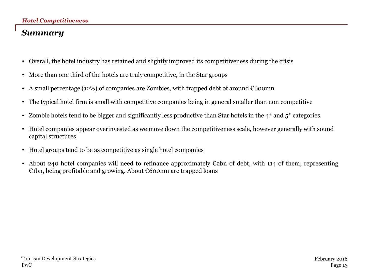#### *Summary*

- Overall, the hotel industry has retained and slightly improved its competitiveness during the crisis
- More than one third of the hotels are truly competitive, in the Star groups
- A small percentage (12%) of companies are Zombies, with trapped debt of around  $\epsilon$ 600mn
- The typical hotel firm is small with competitive companies being in general smaller than non competitive
- Zombie hotels tend to be bigger and significantly less productive than Star hotels in the  $4^*$  and  $5^*$  categories
- Hotel companies appear overinvested as we move down the competitiveness scale, however generally with sound capital structures
- Hotel groups tend to be as competitive as single hotel companies
- About 240 hotel companies will need to refinance approximately  $E$ 2bn of debt, with 114 of them, representing €1bn, being profitable and growing. About €600mn are trapped loans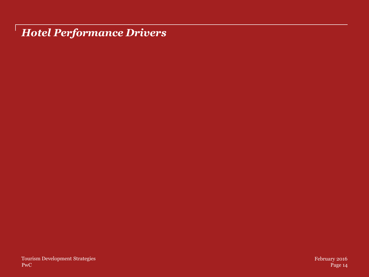*Hotel Performance Drivers*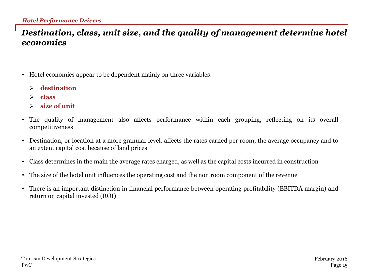#### *Destination, class, unit size, and the quality of management determine hotel economics*

- Hotel economics appear to be dependent mainly on three variables:
	- **destination**
	- **class**
	- **size of unit**
- The quality of management also affects performance within each grouping, reflecting on its overall competitiveness
- Destination, or location at a more granular level, affects the rates earned per room, the average occupancy and to an extent capital cost because of land prices
- Class determines in the main the average rates charged, as well as the capital costs incurred in construction
- The size of the hotel unit influences the operating cost and the non room component of the revenue
- There is an important distinction in financial performance between operating profitability (EBITDA margin) and return on capital invested (ROI)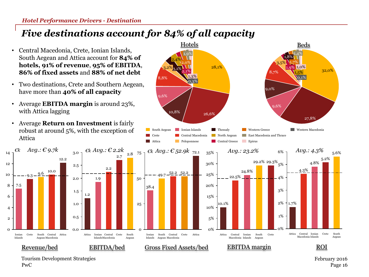## *Five destinations account for 84% of all capacity*

75

50

25

0

- Central Macedonia, Crete, Ionian Islands, South Aegean and Attica account for **84% of hotels, 91% of revenue**, **95% of EBITDA**, **86% of fixed assets** and **88% of net debt**
- Two destinations, Crete and Southern Aegean, have more than **40% of all capacity**
- Average **EBITDA margin** is around 23%, with Attica lagging
- Average **Return on Investment** is fairly robust at around 5%, with the exception of Attica





PwC Tourism Development Strategies South Aegean

5.6%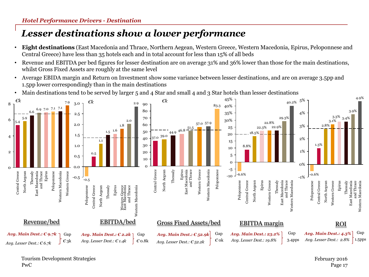## *Lesser destinations show a lower performance*

- **Eight destinations** (East Macedonia and Thrace, Northern Aegean, Western Greece, Western Macedonia, Epirus, Peloponnese and Central Greece) have less than 35 hotels each and in total account for less than 15% of all beds
- Revenue and EBITDA per bed figures for lesser destination are on average 31% and 36% lower than those for the main destinations, whilst Gross Fixed Assets are roughly at the same level
- Average EBIDA margin and Return on Investment show some variance between lesser destinations, and are on average 3.5pp and 1.5pp lower correspondingly than in the main destinations
- Main destinations tend to be served by larger 5 and 4 Star and small 4 and 3 Star hotels than lesser destinations

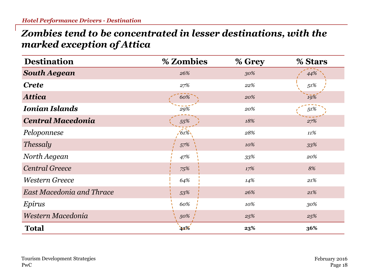#### *Zombies tend to be concentrated in lesser destinations, with the marked exception of Attica*

| <b>Destination</b>               | % Zombies | % Grey | % Stars |
|----------------------------------|-----------|--------|---------|
| <b>South Aegean</b>              | 26%       | 30%    | 44%     |
| <b>Crete</b>                     | 27%       | 22%    | 51%     |
| <b>Attica</b>                    | 60%       | 20%    | 19%     |
| <b>Ionian Islands</b>            | 29%       | 20%    | $51\%$  |
| <b>Central Macedonia</b>         | 55%       | 18%    | 27%     |
| Peloponnese                      | $(61\%)$  | 28%    | 11%     |
| <b>Thessaly</b>                  | 57%       | 10%    | 33%     |
| North Aegean                     | 47%       | $33\%$ | 20%     |
| <b>Central Greece</b>            | 75%       | 17%    | 8%      |
| <b>Western Greece</b>            | 64%       | 14%    | $21\%$  |
| <b>East Macedonia and Thrace</b> | 53%       | 26%    | 21%     |
| Epirus                           | 60%       | 10%    | 30%     |
| Western Macedonia                | 50%       | 25%    | 25%     |
| <b>Total</b>                     | 41%       | 23%    | 36%     |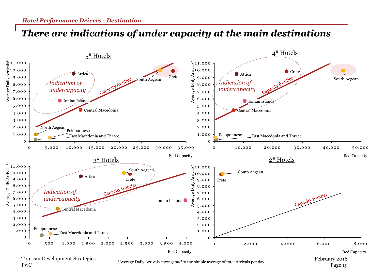#### *There are indications of under capacity at the main destinations*



Page 19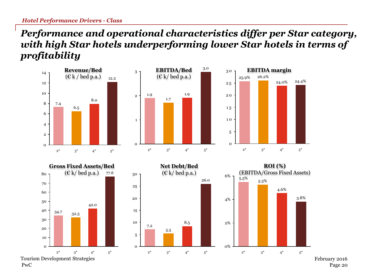PwC

### *Performance and operational characteristics differ per Star category, with high Star hotels underperforming lower Star hotels in terms of profitability*



Page 20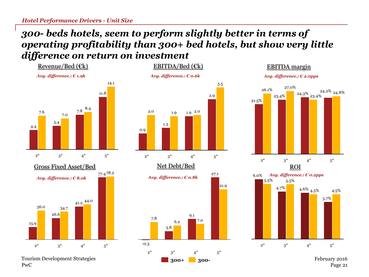#### *300- beds hotels, seem to perform slightly better in terms of operating profitability than 300+ bed hotels, but show very little difference on return on investment*





PwC





3.7% 4.6%  $4.5\%$  $3^*$  4\* 5.5% 2\* 4.7% 5.5% 6.0% 5\* 4.5%

Page 21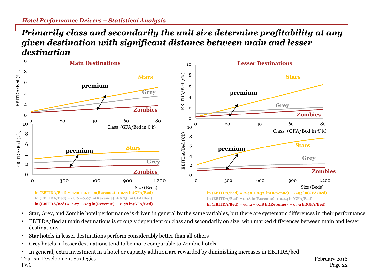#### *Primarily class and secondarily the unit size determine profitability at any given destination with significant distance between main and lesser destination*



- Star, Grey, and Zombie hotel performance is driven in general by the same variables, but there are systematic differences in their performance
- EBITDA/Bed at main destinations is strongly dependent on class and secondarily on size, with marked differences between main and lesser destinations
- Star hotels in lesser destinations perform considerably better than all others
- Grey hotels in lesser destinations tend to be more comparable to Zombie hotels
- PwC Tourism Development Strategies February 2016 • In general, extra investment in a hotel or capacity addition are rewarded by diminishing increases in EBITDA/bed

Page 22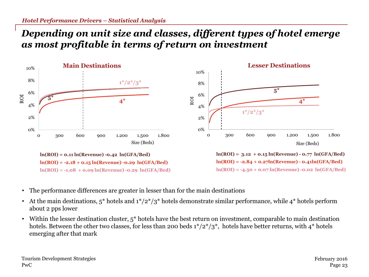#### *Depending on unit size and classes, different types of hotel emerge as most profitable in terms of return on investment*



- The performance differences are greater in lesser than for the main destinations
- At the main destinations,  $5^*$  hotels and  $1^*/2^*/3^*$  hotels demonstrate similar performance, while  $4^*$  hotels perform about 2 pps lower
- Within the lesser destination cluster,  $5^*$  hotels have the best return on investment, comparable to main destination hotels. Between the other two classes, for less than 200 beds  $1*/2*/3*$ , hotels have better returns, with 4<sup>\*</sup> hotels emerging after that mark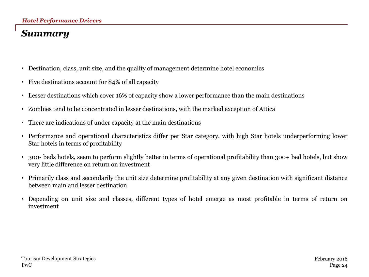## *Summary*

- Destination, class, unit size, and the quality of management determine hotel economics
- Five destinations account for 84% of all capacity
- Lesser destinations which cover 16% of capacity show a lower performance than the main destinations
- Zombies tend to be concentrated in lesser destinations, with the marked exception of Attica
- There are indications of under capacity at the main destinations
- Performance and operational characteristics differ per Star category, with high Star hotels underperforming lower Star hotels in terms of profitability
- 300- beds hotels, seem to perform slightly better in terms of operational profitability than 300+ bed hotels, but show very little difference on return on investment
- Primarily class and secondarily the unit size determine profitability at any given destination with significant distance between main and lesser destination
- Depending on unit size and classes, different types of hotel emerge as most profitable in terms of return on investment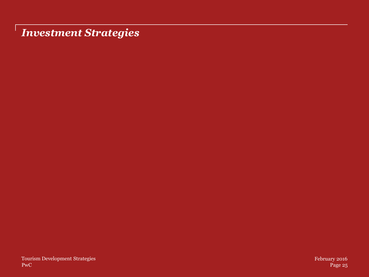*Investment Strategies*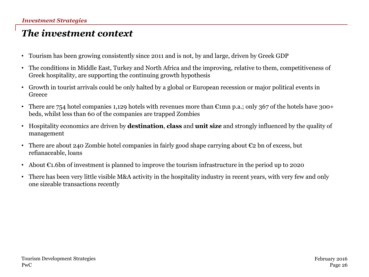## *The investment context*

- Tourism has been growing consistently since 2011 and is not, by and large, driven by Greek GDP
- The conditions in Middle East, Turkey and North Africa and the improving, relative to them, competitiveness of Greek hospitality, are supporting the continuing growth hypothesis
- Growth in tourist arrivals could be only halted by a global or European recession or major political events in Greece
- There are 754 hotel companies 1,129 hotels with revenues more than  $\mathfrak{m}$  mn p.a.; only 367 of the hotels have 300+ beds, whilst less than 60 of the companies are trapped Zombies
- Hospitality economics are driven by **destination**, **class** and **unit size** and strongly influenced by the quality of management
- There are about 240 Zombie hotel companies in fairly good shape carrying about  $\epsilon_2$  bn of excess, but refianaceable, loans
- About  $\epsilon_1$ .6bn of investment is planned to improve the tourism infrastructure in the period up to 2020
- There has been very little visible M&A activity in the hospitality industry in recent years, with very few and only one sizeable transactions recently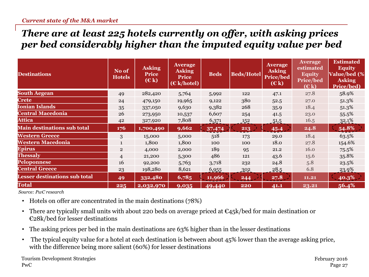### *There are at least 225 hotels currently on offer, with asking prices per bed considerably higher than the imputed equity value per bed*

| <b>Destinations</b>                  | No of<br><b>Hotels</b> | <b>Asking</b><br><b>Price</b><br>(E k) | <b>Average</b><br><b>Asking</b><br><b>Price</b><br>$(E k / \text{hotel})$ | <b>Beds</b> | <b>Beds/Hotel</b> | <b>Average</b><br><b>Asking</b><br>Price/bed<br>(E k) | <b>Average</b><br>estimated<br><b>Equity</b><br><b>Price/bed</b><br>(E k) | <b>Estimated</b><br><b>Equity</b><br><b>Value/bed (%)</b><br><b>Asking</b><br>Price/bed) |
|--------------------------------------|------------------------|----------------------------------------|---------------------------------------------------------------------------|-------------|-------------------|-------------------------------------------------------|---------------------------------------------------------------------------|------------------------------------------------------------------------------------------|
| <b>South Aegean</b>                  | 49                     | 282,420                                | 5,764                                                                     | 5,992       | 122               | 47.1                                                  | 27.8                                                                      | 58.9%                                                                                    |
| <b>Crete</b>                         | 24                     | 479,150                                | 19,965                                                                    | 9,122       | 380               | 52.5                                                  | 27.0                                                                      | 51.3%                                                                                    |
| <b>Ionian Islands</b>                | 35                     | 337,050                                | 9,630                                                                     | 9,382       | 268               | 35.9                                                  | 18.4                                                                      | 51.3%                                                                                    |
| <b>Central Macedonia</b>             | 26                     | 273,950                                | 10,537                                                                    | 6,607       | 254               | 41.5                                                  | 23.0                                                                      | 55.5%                                                                                    |
| <b>Attica</b>                        | 42                     | 327,920                                | 7,808                                                                     | 6,371       | 152               | 51.5                                                  | 16.5                                                                      | 32.1%                                                                                    |
| <b>Main destinations sub total</b>   | 176                    | 1,700,490                              | 9,662                                                                     | 37,474      | 213               | 45.4                                                  | 24.8                                                                      | 54.8%                                                                                    |
| <b>Western Greece</b>                | 3                      | 15,000                                 | 5,000                                                                     | 518         | 173               | 29.0                                                  | 18.4                                                                      | 63.5%                                                                                    |
| <b>Western Macedonia</b>             | $\mathbf{1}$           | 1,800                                  | 1,800                                                                     | 100         | 100               | 18.0                                                  | 27.8                                                                      | 154.6%                                                                                   |
| <b>Epirus</b>                        | $\overline{2}$         | 4,000                                  | 2,000                                                                     | 189         | 95                | 21.2                                                  | 16.0                                                                      | 75.5%                                                                                    |
| Thessaly                             | $\overline{4}$         | 21,200                                 | 5,300                                                                     | 486         | 121               | 43.6                                                  | 15.6                                                                      | 35.8%                                                                                    |
| Peloponnese                          | 16                     | 92,200                                 | 5,763                                                                     | 3,718       | 232               | 24.8                                                  | 5.8                                                                       | 23.5%                                                                                    |
| <b>Central Greece</b>                | 23                     | 198,280                                | 8,621                                                                     | 6,955       | .302              | 28.5                                                  | 6.8                                                                       | 23.9%                                                                                    |
| <b>Lesser destinations sub total</b> | 49                     | 332,480                                | 6,785                                                                     | 11,966      | 244               | 27.8                                                  | 11.21                                                                     | 40.3%                                                                                    |
| <b>Total</b>                         | 225                    | 2,032,970                              | 9,035                                                                     | 49,440      | 220               | 41.1                                                  | 23.21                                                                     | 56.4%                                                                                    |

*Source: PwC research*

- Hotels on offer are concentrated in the main destinations (78%)
- There are typically small units with about 220 beds on average priced at  $\epsilon$ 45k/bed for main destination or €28k/bed for lesser destinations
- The asking prices per bed in the main destinations are 63% higher than in the lesser destinations
- The typical equity value for a hotel at each destination is between about 45% lower than the average asking price, with the difference being more salient (60%) for lesser destinations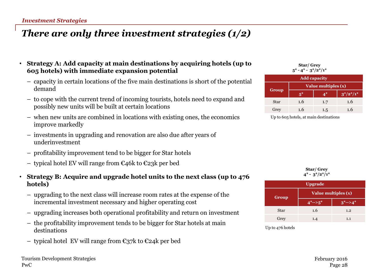#### *Investment Strategies*

## *There are only three investment strategies (1/2)*

- **Strategy A: Add capacity at main destinations by acquiring hotels (up to 605 hotels) with immediate expansion potential**
	- capacity in certain locations of the five main destinations is short of the potential demand
	- to cope with the current trend of incoming tourists, hotels need to expand and possibly new units will be built at certain locations
	- when new units are combined in locations with existing ones, the economics improve markedly
	- investments in upgrading and renovation are also due after years of underinvestment
	- profitability improvement tend to be bigger for Star hotels
	- typical hotel EV will range from €46k to €23k per bed

#### • **Strategy B: Acquire and upgrade hotel units to the next class (up to 476 hotels)**

- upgrading to the next class will increase room rates at the expense of the incremental investment necessary and higher operating cost
- upgrading increases both operational profitability and return on investment
- the profitability improvement tends to be bigger for Star hotels at main destinations
- typical hotel EV will range from €37k to €24k per bed

**Star/ Grey 5\* - 4\* - 3\*/2\*/1\***

|             | <b>Add capacity</b> |     |            |  |  |  |
|-------------|---------------------|-----|------------|--|--|--|
|             | Value multiples (x) |     |            |  |  |  |
| Group       | $5^*$               | 4*  | $3*/2*/1*$ |  |  |  |
| <b>Star</b> | 1.6                 | 1.7 | 1.6        |  |  |  |
| Grey        | 1.6                 | 1.5 | 1.6        |  |  |  |

Up to 605 hotels, at main destinations

| Star/Grey             |
|-----------------------|
| $4^*$ - $3^*/2^*/1^*$ |

| <b>Upgrade</b> |                              |             |  |  |  |
|----------------|------------------------------|-------------|--|--|--|
| Group          | Value multiples $(x)$        |             |  |  |  |
|                | $4^{*}$ - - > 5 <sup>*</sup> | $3^*$ -->4* |  |  |  |
| <b>Star</b>    | 1.6                          | 1.2         |  |  |  |
| Grey           | 1.4                          | 1.1         |  |  |  |

Up to 476 hotels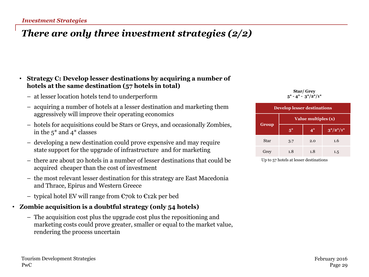## *There are only three investment strategies (2/2)*

#### • **Strategy C: Develop lesser destinations by acquiring a number of hotels at the same destination (57 hotels in total)**

- at lesser location hotels tend to underperform
- acquiring a number of hotels at a lesser destination and marketing them aggressively will improve their operating economics
- hotels for acquisitions could be Stars or Greys, and occasionally Zombies, in the 5\* and 4\* classes
- developing a new destination could prove expensive and may require state support for the upgrade of infrastructure and for marketing
- there are about 20 hotels in a number of lesser destinations that could be acquired cheaper than the cost of investment
- the most relevant lesser destination for this strategy are East Macedonia and Thrace, Epirus and Western Greece
- typical hotel EV will range from €70k to €12k per bed

#### • **Zombie acquisition is a doubtful strategy (only 54 hotels)**

– The acquisition cost plus the upgrade cost plus the repositioning and marketing costs could prove greater, smaller or equal to the market value, rendering the process uncertain





Up to 57 hotels at lesser destinations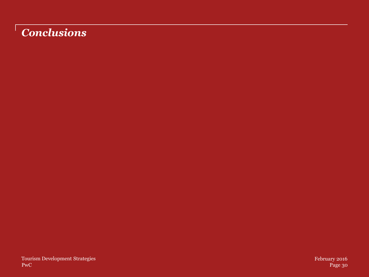## *Conclusions*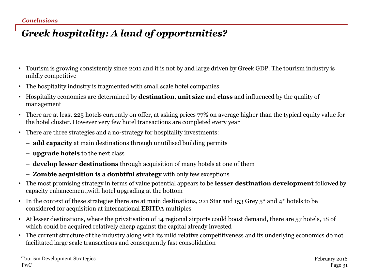## *Greek hospitality: A land of opportunities?*

- Tourism is growing consistently since 2011 and it is not by and large driven by Greek GDP. The tourism industry is mildly competitive
- The hospitality industry is fragmented with small scale hotel companies
- Hospitality economics are determined by **destination**, **unit size** and **class** and influenced by the quality of management
- There are at least 225 hotels currently on offer, at asking prices 77% on average higher than the typical equity value for the hotel cluster. However very few hotel transactions are completed every year
- There are three strategies and a no-strategy for hospitality investments:
	- **add capacity** at main destinations through unutilised building permits
	- **upgrade hotels** to the next class
	- **develop lesser destinations** through acquisition of many hotels at one of them
	- **Zombie acquisition is a doubtful strategy** with only few exceptions
- The most promising strategy in terms of value potential appears to be **lesser destination development** followed by capacity enhancement,with hotel upgrading at the bottom
- In the context of these strategies there are at main destinations, 221 Star and 153 Grey  $5^*$  and  $4^*$  hotels to be considered for acquisition at international EBITDA multiples
- At lesser destinations, where the privatisation of 14 regional airports could boost demand, there are 57 hotels, 18 of which could be acquired relatively cheap against the capital already invested
- The current structure of the industry along with its mild relative competitiveness and its underlying economics do not facilitated large scale transactions and consequently fast consolidation